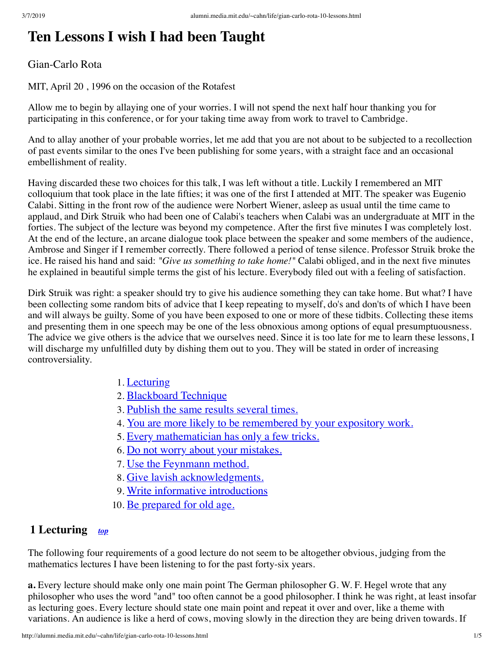# **Ten Lessons I wish I had been Taught**

## Gian-Carlo Rota

MIT, April 20 , 1996 on the occasion of the Rotafest

Allow me to begin by allaying one of your worries. I will not spend the next half hour thanking you for participating in this conference, or for your taking time away from work to travel to Cambridge.

And to allay another of your probable worries, let me add that you are not about to be subjected to a recollection of past events similar to the ones I've been publishing for some years, with a straight face and an occasional embellishment of reality.

Having discarded these two choices for this talk, I was left without a title. Luckily I remembered an MIT colloquium that took place in the late fifties; it was one of the first I attended at MIT. The speaker was Eugenio Calabi. Sitting in the front row of the audience were Norbert Wiener, asleep as usual until the time came to applaud, and Dirk Struik who had been one of Calabi's teachers when Calabi was an undergraduate at MIT in the forties. The subject of the lecture was beyond my competence. After the first five minutes I was completely lost. At the end of the lecture, an arcane dialogue took place between the speaker and some members of the audience, Ambrose and Singer if I remember correctly. There followed a period of tense silence. Professor Struik broke the ice. He raised his hand and said: *"Give us something to take home!"* Calabi obliged, and in the next five minutes he explained in beautiful simple terms the gist of his lecture. Everybody filed out with a feeling of satisfaction.

Dirk Struik was right: a speaker should try to give his audience something they can take home. But what? I have been collecting some random bits of advice that I keep repeating to myself, do's and don'ts of which I have been and will always be guilty. Some of you have been exposed to one or more of these tidbits. Collecting these items and presenting them in one speech may be one of the less obnoxious among options of equal presumptuousness. The advice we give others is the advice that we ourselves need. Since it is too late for me to learn these lessons, I will discharge my unfulfilled duty by dishing them out to you. They will be stated in order of increasing controversiality.

- 1. [Lecturing](http://alumni.media.mit.edu/~cahn/life/gian-carlo-rota-10-lessons.html#lecturing)
- 2. [Blackboard Technique](http://alumni.media.mit.edu/~cahn/life/gian-carlo-rota-10-lessons.html#blackboard)
- 3. [Publish the same results several times.](http://alumni.media.mit.edu/~cahn/life/gian-carlo-rota-10-lessons.html#publish)
- 4. [You are more likely to be remembered by your expository work.](http://alumni.media.mit.edu/~cahn/life/gian-carlo-rota-10-lessons.html#expository)
- 5. [Every mathematician has only a few tricks.](http://alumni.media.mit.edu/~cahn/life/gian-carlo-rota-10-lessons.html#tricks)
- 6. [Do not worry about your mistakes.](http://alumni.media.mit.edu/~cahn/life/gian-carlo-rota-10-lessons.html#mistakes)
- 7. [Use the Feynmann method.](http://alumni.media.mit.edu/~cahn/life/gian-carlo-rota-10-lessons.html#feynmann)
- 8. [Give lavish acknowledgments.](http://alumni.media.mit.edu/~cahn/life/gian-carlo-rota-10-lessons.html#lavish)
- 9. [Write informative introductions](http://alumni.media.mit.edu/~cahn/life/gian-carlo-rota-10-lessons.html#informative)
- 10. [Be prepared for old age.](http://alumni.media.mit.edu/~cahn/life/gian-carlo-rota-10-lessons.html#old-age)

# **1 Lecturing** *[top](http://alumni.media.mit.edu/~cahn/life/gian-carlo-rota-10-lessons.html#toc)*

The following four requirements of a good lecture do not seem to be altogether obvious, judging from the mathematics lectures I have been listening to for the past forty-six years.

**a.** Every lecture should make only one main point The German philosopher G. W. F. Hegel wrote that any philosopher who uses the word "and" too often cannot be a good philosopher. I think he was right, at least insofar as lecturing goes. Every lecture should state one main point and repeat it over and over, like a theme with variations. An audience is like a herd of cows, moving slowly in the direction they are being driven towards. If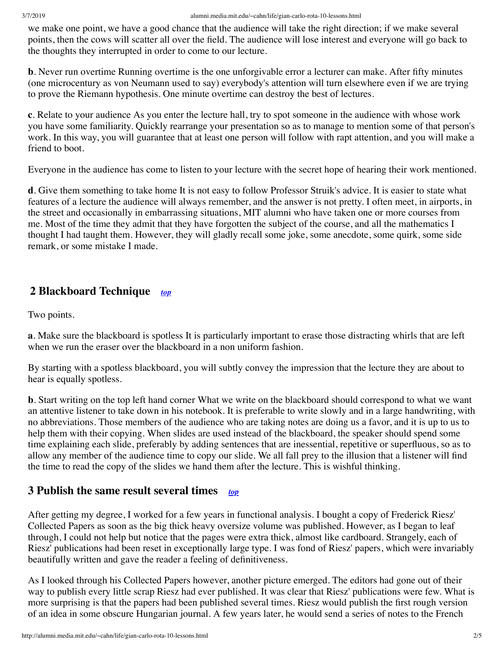we make one point, we have a good chance that the audience will take the right direction; if we make several points, then the cows will scatter all over the field. The audience will lose interest and everyone will go back to the thoughts they interrupted in order to come to our lecture.

**b**. Never run overtime Running overtime is the one unforgivable error a lecturer can make. After fifty minutes (one microcentury as von Neumann used to say) everybody's attention will turn elsewhere even if we are trying to prove the Riemann hypothesis. One minute overtime can destroy the best of lectures.

**c**. Relate to your audience As you enter the lecture hall, try to spot someone in the audience with whose work you have some familiarity. Quickly rearrange your presentation so as to manage to mention some of that person's work. In this way, you will guarantee that at least one person will follow with rapt attention, and you will make a friend to boot.

Everyone in the audience has come to listen to your lecture with the secret hope of hearing their work mentioned.

**d**. Give them something to take home It is not easy to follow Professor Struik's advice. It is easier to state what features of a lecture the audience will always remember, and the answer is not pretty. I often meet, in airports, in the street and occasionally in embarrassing situations, MIT alumni who have taken one or more courses from me. Most of the time they admit that they have forgotten the subject of the course, and all the mathematics I thought I had taught them. However, they will gladly recall some joke, some anecdote, some quirk, some side remark, or some mistake I made.

## **2 Blackboard Technique** *[top](http://alumni.media.mit.edu/~cahn/life/gian-carlo-rota-10-lessons.html#toc)*

Two points.

**a**. Make sure the blackboard is spotless It is particularly important to erase those distracting whirls that are left when we run the eraser over the blackboard in a non uniform fashion.

By starting with a spotless blackboard, you will subtly convey the impression that the lecture they are about to hear is equally spotless.

**b**. Start writing on the top left hand corner What we write on the blackboard should correspond to what we want an attentive listener to take down in his notebook. It is preferable to write slowly and in a large handwriting, with no abbreviations. Those members of the audience who are taking notes are doing us a favor, and it is up to us to help them with their copying. When slides are used instead of the blackboard, the speaker should spend some time explaining each slide, preferably by adding sentences that are inessential, repetitive or superfluous, so as to allow any member of the audience time to copy our slide. We all fall prey to the illusion that a listener will find the time to read the copy of the slides we hand them after the lecture. This is wishful thinking.

## **3 Publish the same result several times** *[top](http://alumni.media.mit.edu/~cahn/life/gian-carlo-rota-10-lessons.html#toc)*

After getting my degree, I worked for a few years in functional analysis. I bought a copy of Frederick Riesz' Collected Papers as soon as the big thick heavy oversize volume was published. However, as I began to leaf through, I could not help but notice that the pages were extra thick, almost like cardboard. Strangely, each of Riesz' publications had been reset in exceptionally large type. I was fond of Riesz' papers, which were invariably beautifully written and gave the reader a feeling of definitiveness.

As I looked through his Collected Papers however, another picture emerged. The editors had gone out of their way to publish every little scrap Riesz had ever published. It was clear that Riesz' publications were few. What is more surprising is that the papers had been published several times. Riesz would publish the first rough version of an idea in some obscure Hungarian journal. A few years later, he would send a series of notes to the French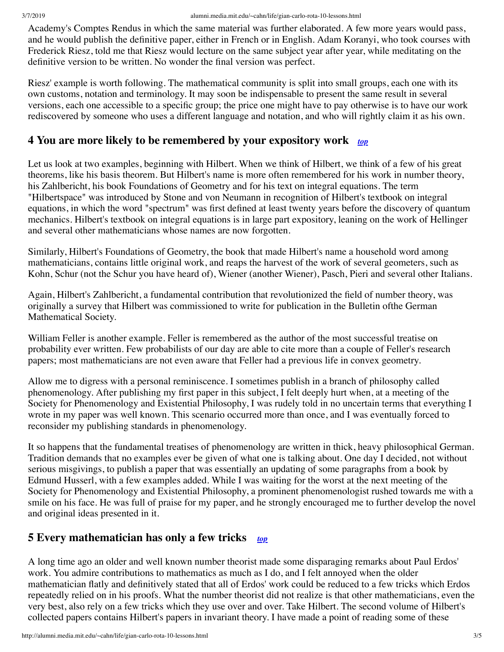Academy's Comptes Rendus in which the same material was further elaborated. A few more years would pass, and he would publish the definitive paper, either in French or in English. Adam Koranyi, who took courses with Frederick Riesz, told me that Riesz would lecture on the same subject year after year, while meditating on the definitive version to be written. No wonder the final version was perfect.

Riesz' example is worth following. The mathematical community is split into small groups, each one with its own customs, notation and terminology. It may soon be indispensable to present the same result in several versions, each one accessible to a specific group; the price one might have to pay otherwise is to have our work rediscovered by someone who uses a different language and notation, and who will rightly claim it as his own.

## **4 You are more likely to be remembered by your expository work** *[top](http://alumni.media.mit.edu/~cahn/life/gian-carlo-rota-10-lessons.html#toc)*

Let us look at two examples, beginning with Hilbert. When we think of Hilbert, we think of a few of his great theorems, like his basis theorem. But Hilbert's name is more often remembered for his work in number theory, his Zahlbericht, his book Foundations of Geometry and for his text on integral equations. The term "Hilbertspace" was introduced by Stone and von Neumann in recognition of Hilbert's textbook on integral equations, in which the word "spectrum" was first defined at least twenty years before the discovery of quantum mechanics. Hilbert's textbook on integral equations is in large part expository, leaning on the work of Hellinger and several other mathematicians whose names are now forgotten.

Similarly, Hilbert's Foundations of Geometry, the book that made Hilbert's name a household word among mathematicians, contains little original work, and reaps the harvest of the work of several geometers, such as Kohn, Schur (not the Schur you have heard of), Wiener (another Wiener), Pasch, Pieri and several other Italians.

Again, Hilbert's Zahlbericht, a fundamental contribution that revolutionized the field of number theory, was originally a survey that Hilbert was commissioned to write for publication in the Bulletin ofthe German Mathematical Society.

William Feller is another example. Feller is remembered as the author of the most successful treatise on probability ever written. Few probabilists of our day are able to cite more than a couple of Feller's research papers; most mathematicians are not even aware that Feller had a previous life in convex geometry.

Allow me to digress with a personal reminiscence. I sometimes publish in a branch of philosophy called phenomenology. After publishing my first paper in this subject, I felt deeply hurt when, at a meeting of the Society for Phenomenology and Existential Philosophy, I was rudely told in no uncertain terms that everything I wrote in my paper was well known. This scenario occurred more than once, and I was eventually forced to reconsider my publishing standards in phenomenology.

It so happens that the fundamental treatises of phenomenology are written in thick, heavy philosophical German. Tradition demands that no examples ever be given of what one is talking about. One day I decided, not without serious misgivings, to publish a paper that was essentially an updating of some paragraphs from a book by Edmund Husserl, with a few examples added. While I was waiting for the worst at the next meeting of the Society for Phenomenology and Existential Philosophy, a prominent phenomenologist rushed towards me with a smile on his face. He was full of praise for my paper, and he strongly encouraged me to further develop the novel and original ideas presented in it.

# **5 Every mathematician has only a few tricks** *[top](http://alumni.media.mit.edu/~cahn/life/gian-carlo-rota-10-lessons.html#toc)*

A long time ago an older and well known number theorist made some disparaging remarks about Paul Erdos' work. You admire contributions to mathematics as much as I do, and I felt annoyed when the older mathematician flatly and definitively stated that all of Erdos' work could be reduced to a few tricks which Erdos repeatedly relied on in his proofs. What the number theorist did not realize is that other mathematicians, even the very best, also rely on a few tricks which they use over and over. Take Hilbert. The second volume of Hilbert's collected papers contains Hilbert's papers in invariant theory. I have made a point of reading some of these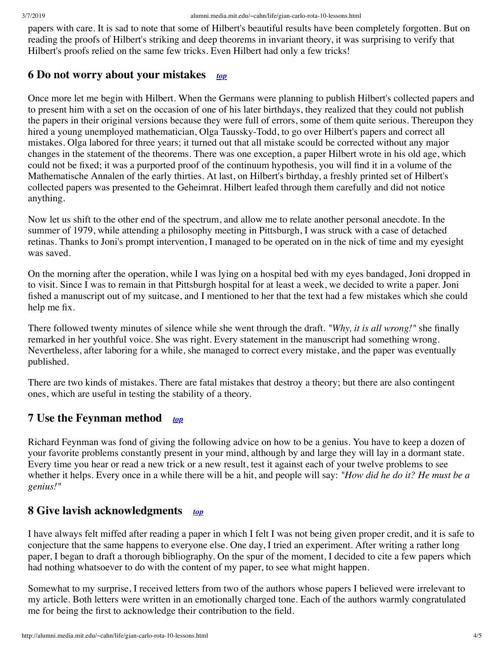papers with care. It is sad to note that some of Hilbert's beautiful results have been completely forgotten. But on reading the proofs of Hilbert's striking and deep theorems in invariant theory, it was surprising to verify that Hilbert's proofs relied on the same few tricks. Even Hilbert had only a few tricks!

#### **6 Do not worry about your mistakes** *[top](http://alumni.media.mit.edu/~cahn/life/gian-carlo-rota-10-lessons.html#toc)*

Once more let me begin with Hilbert. When the Germans were planning to publish Hilbert's collected papers and to present him with a set on the occasion of one of his later birthdays, they realized that they could not publish the papers in their original versions because they were full of errors, some of them quite serious. Thereupon they hired a young unemployed mathematician, Olga Taussky-Todd, to go over Hilbert's papers and correct all mistakes. Olga labored for three years; it turned out that all mistake scould be corrected without any major changes in the statement of the theorems. There was one exception, a paper Hilbert wrote in his old age, which could not be fixed; it was a purported proof of the continuum hypothesis, you will find it in a volume of the Mathematische Annalen of the early thirties. At last, on Hilbert's birthday, a freshly printed set of Hilbert's collected papers was presented to the Geheimrat. Hilbert leafed through them carefully and did not notice anything.

Now let us shift to the other end of the spectrum, and allow me to relate another personal anecdote. In the summer of 1979, while attending a philosophy meeting in Pittsburgh, I was struck with a case of detached retinas. Thanks to Joni's prompt intervention, I managed to be operated on in the nick of time and my eyesight was saved.

On the morning after the operation, while I was lying on a hospital bed with my eyes bandaged, Joni dropped in to visit. Since I was to remain in that Pittsburgh hospital for at least a week, we decided to write a paper. Joni fished a manuscript out of my suitcase, and I mentioned to her that the text had a few mistakes which she could help me fix.

There followed twenty minutes of silence while she went through the draft. *"Why, it is all wrong!"* she finally remarked in her youthful voice. She was right. Every statement in the manuscript had something wrong. Nevertheless, after laboring for a while, she managed to correct every mistake, and the paper was eventually published.

There are two kinds of mistakes. There are fatal mistakes that destroy a theory; but there are also contingent ones, which are useful in testing the stability of a theory.

## **7 Use the Feynman method** *[top](http://alumni.media.mit.edu/~cahn/life/gian-carlo-rota-10-lessons.html#toc)*

Richard Feynman was fond of giving the following advice on how to be a genius. You have to keep a dozen of your favorite problems constantly present in your mind, although by and large they will lay in a dormant state. Every time you hear or read a new trick or a new result, test it against each of your twelve problems to see whether it helps. Every once in a while there will be a hit, and people will say: *"How did he do it? He must be a genius!"*

## **8 Give lavish acknowledgments** *[top](http://alumni.media.mit.edu/~cahn/life/gian-carlo-rota-10-lessons.html#toc)*

I have always felt miffed after reading a paper in which I felt I was not being given proper credit, and it is safe to conjecture that the same happens to everyone else. One day, I tried an experiment. After writing a rather long paper, I began to draft a thorough bibliography. On the spur of the moment, I decided to cite a few papers which had nothing whatsoever to do with the content of my paper, to see what might happen.

Somewhat to my surprise, I received letters from two of the authors whose papers I believed were irrelevant to my article. Both letters were written in an emotionally charged tone. Each of the authors warmly congratulated me for being the first to acknowledge their contribution to the field.